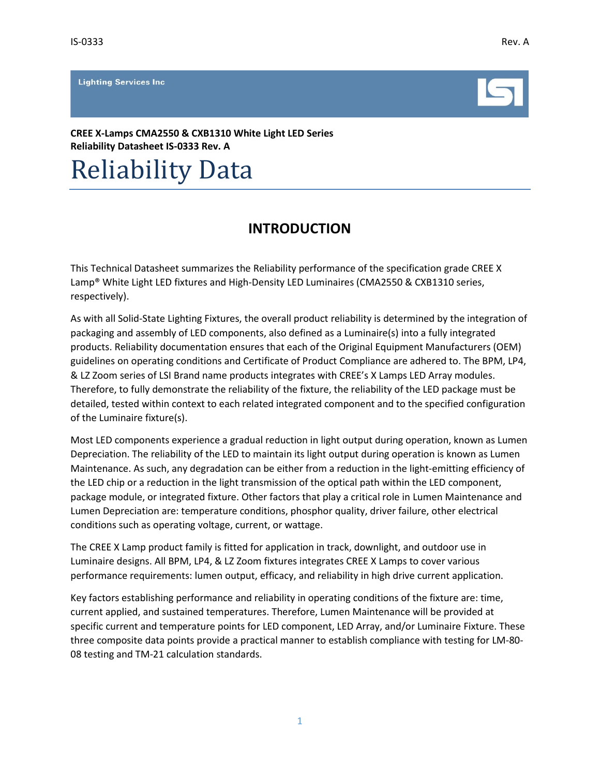**Lighting Services Inc.** 



**CREE X-Lamps CMA2550 & CXB1310 White Light LED Series Reliability Datasheet IS-0333 Rev. A**

# Reliability Data

# **INTRODUCTION**

This Technical Datasheet summarizes the Reliability performance of the specification grade CREE X Lamp® White Light LED fixtures and High-Density LED Luminaires (CMA2550 & CXB1310 series, respectively).

As with all Solid-State Lighting Fixtures, the overall product reliability is determined by the integration of packaging and assembly of LED components, also defined as a Luminaire(s) into a fully integrated products. Reliability documentation ensures that each of the Original Equipment Manufacturers (OEM) guidelines on operating conditions and Certificate of Product Compliance are adhered to. The BPM, LP4, & LZ Zoom series of LSI Brand name products integrates with CREE's X Lamps LED Array modules. Therefore, to fully demonstrate the reliability of the fixture, the reliability of the LED package must be detailed, tested within context to each related integrated component and to the specified configuration of the Luminaire fixture(s).

Most LED components experience a gradual reduction in light output during operation, known as Lumen Depreciation. The reliability of the LED to maintain its light output during operation is known as Lumen Maintenance. As such, any degradation can be either from a reduction in the light-emitting efficiency of the LED chip or a reduction in the light transmission of the optical path within the LED component, package module, or integrated fixture. Other factors that play a critical role in Lumen Maintenance and Lumen Depreciation are: temperature conditions, phosphor quality, driver failure, other electrical conditions such as operating voltage, current, or wattage.

The CREE X Lamp product family is fitted for application in track, downlight, and outdoor use in Luminaire designs. All BPM, LP4, & LZ Zoom fixtures integrates CREE X Lamps to cover various performance requirements: lumen output, efficacy, and reliability in high drive current application.

Key factors establishing performance and reliability in operating conditions of the fixture are: time, current applied, and sustained temperatures. Therefore, Lumen Maintenance will be provided at specific current and temperature points for LED component, LED Array, and/or Luminaire Fixture. These three composite data points provide a practical manner to establish compliance with testing for LM-80- 08 testing and TM-21 calculation standards.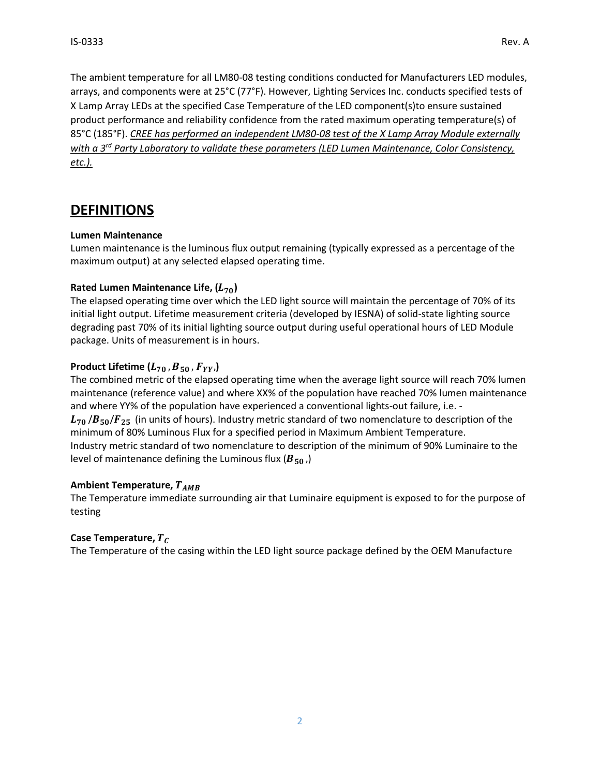The ambient temperature for all LM80-08 testing conditions conducted for Manufacturers LED modules, arrays, and components were at 25°C (77°F). However, Lighting Services Inc. conducts specified tests of X Lamp Array LEDs at the specified Case Temperature of the LED component(s)to ensure sustained product performance and reliability confidence from the rated maximum operating temperature(s) of 85°C (185°F). *CREE has performed an independent LM80-08 test of the X Lamp Array Module externally with a 3rd Party Laboratory to validate these parameters (LED Lumen Maintenance, Color Consistency, etc.).*

# **DEFINITIONS**

### **Lumen Maintenance**

Lumen maintenance is the luminous flux output remaining (typically expressed as a percentage of the maximum output) at any selected elapsed operating time.

### **Rated Lumen Maintenance Life, ()**

The elapsed operating time over which the LED light source will maintain the percentage of 70% of its initial light output. Lifetime measurement criteria (developed by IESNA) of solid-state lighting source degrading past 70% of its initial lighting source output during useful operational hours of LED Module package. Units of measurement is in hours.

### **Product Lifetime**  $(L_{70}, B_{50}, F_{YY})$

The combined metric of the elapsed operating time when the average light source will reach 70% lumen maintenance (reference value) and where XX% of the population have reached 70% lumen maintenance and where YY% of the population have experienced a conventional lights-out failure, i.e. -  $L_{70}/B_{50}/F_{25}$  (in units of hours). Industry metric standard of two nomenclature to description of the minimum of 80% Luminous Flux for a specified period in Maximum Ambient Temperature. Industry metric standard of two nomenclature to description of the minimum of 90% Luminaire to the level of maintenance defining the Luminous flux ( $B_{50}$ )

### **Ambient Temperature,**

The Temperature immediate surrounding air that Luminaire equipment is exposed to for the purpose of testing

### **Case Temperature,**

The Temperature of the casing within the LED light source package defined by the OEM Manufacture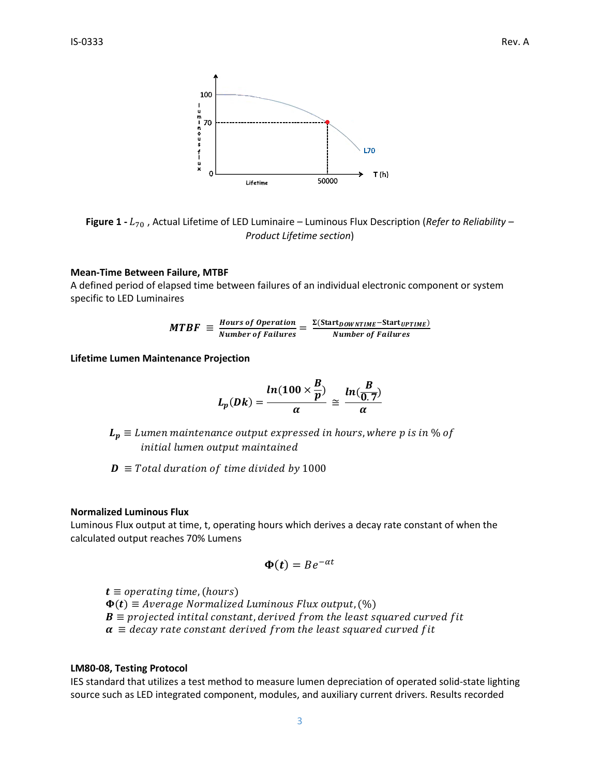

**Figure 1 -** <sup>70</sup> , Actual Lifetime of LED Luminaire – Luminous Flux Description (*Refer to Reliability – Product Lifetime section*)

#### **Mean-Time Between Failure, MTBF**

A defined period of elapsed time between failures of an individual electronic component or system specific to LED Luminaires

$$
MTBF \equiv \frac{Hours\ of\ Operation}{Number\ of\ Failure} = \frac{\Sigma(Start_{DOWNTIME} - Start_{UPTIME})}{Number\ of\ Failure}
$$

**Lifetime Lumen Maintenance Projection**

$$
L_p(Dk) = \frac{ln(100 \times \frac{B}{p})}{\alpha} \cong \frac{ln(\frac{B}{0.7})}{\alpha}
$$

 $L_p \equiv$  Lumen maintenance output expressed in hours, where p is in % of initial lumen output maintained

 $\mathbf{D} \equiv$  Total duration of time divided by 1000

#### **Normalized Luminous Flux**

Luminous Flux output at time, t, operating hours which derives a decay rate constant of when the calculated output reaches 70% Lumens

$$
\Phi(t) = Be^{-\alpha t}
$$

 $t \equiv$  operating time, (hours)  $\Phi(t) \equiv$  Average Normalized Luminous Flux output,  $(\%)$  $\mathbf{B} \equiv$  projected intital constant, derived from the least squared curved fit  $\alpha \equiv$  decay rate constant derived from the least squared curved fit

#### **LM80-08, Testing Protocol**

IES standard that utilizes a test method to measure lumen depreciation of operated solid-state lighting source such as LED integrated component, modules, and auxiliary current drivers. Results recorded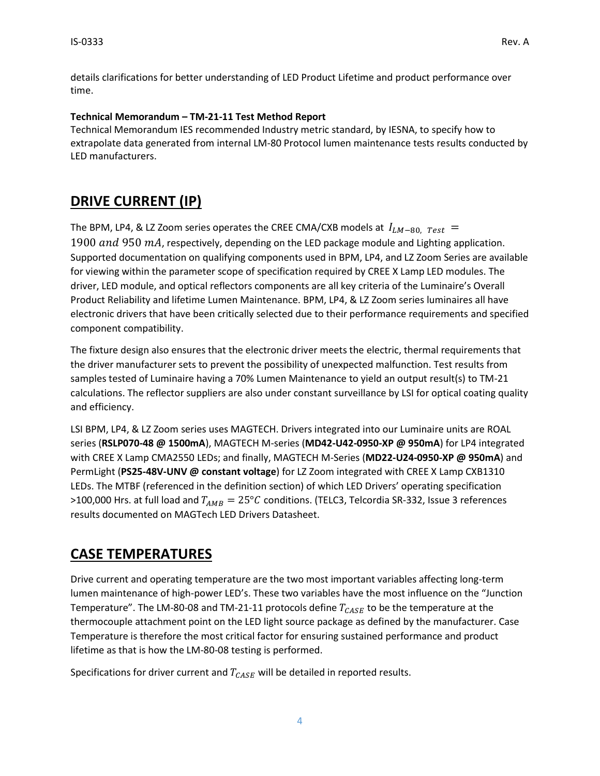details clarifications for better understanding of LED Product Lifetime and product performance over time.

### **Technical Memorandum – TM-21-11 Test Method Report**

Technical Memorandum IES recommended Industry metric standard, by IESNA, to specify how to extrapolate data generated from internal LM-80 Protocol lumen maintenance tests results conducted by LED manufacturers.

# **DRIVE CURRENT (IP)**

The BPM, LP4, & LZ Zoom series operates the CREE CMA/CXB models at  $I_{LM-80, Test}$  = 1900 and 950  $mA$ , respectively, depending on the LED package module and Lighting application. Supported documentation on qualifying components used in BPM, LP4, and LZ Zoom Series are available for viewing within the parameter scope of specification required by CREE X Lamp LED modules. The driver, LED module, and optical reflectors components are all key criteria of the Luminaire's Overall Product Reliability and lifetime Lumen Maintenance. BPM, LP4, & LZ Zoom series luminaires all have electronic drivers that have been critically selected due to their performance requirements and specified

component compatibility.

The fixture design also ensures that the electronic driver meets the electric, thermal requirements that the driver manufacturer sets to prevent the possibility of unexpected malfunction. Test results from samples tested of Luminaire having a 70% Lumen Maintenance to yield an output result(s) to TM-21 calculations. The reflector suppliers are also under constant surveillance by LSI for optical coating quality and efficiency.

LSI BPM, LP4, & LZ Zoom series uses MAGTECH. Drivers integrated into our Luminaire units are ROAL series (**RSLP070-48 @ 1500mA**), MAGTECH M-series (**MD42-U42-0950-XP @ 950mA**) for LP4 integrated with CREE X Lamp CMA2550 LEDs; and finally, MAGTECH M-Series (**MD22-U24-0950-XP @ 950mA**) and PermLight (**PS25-48V-UNV @ constant voltage**) for LZ Zoom integrated with CREE X Lamp CXB1310 LEDs. The MTBF (referenced in the definition section) of which LED Drivers' operating specification >100,000 Hrs. at full load and  $T_{AMB} = 25^{\circ}C$  conditions. (TELC3, Telcordia SR-332, Issue 3 references results documented on MAGTech LED Drivers Datasheet.

# **CASE TEMPERATURES**

Drive current and operating temperature are the two most important variables affecting long-term lumen maintenance of high-power LED's. These two variables have the most influence on the "Junction Temperature". The LM-80-08 and TM-21-11 protocols define  $T_{CASE}$  to be the temperature at the thermocouple attachment point on the LED light source package as defined by the manufacturer. Case Temperature is therefore the most critical factor for ensuring sustained performance and product lifetime as that is how the LM-80-08 testing is performed.

Specifications for driver current and  $T_{CASE}$  will be detailed in reported results.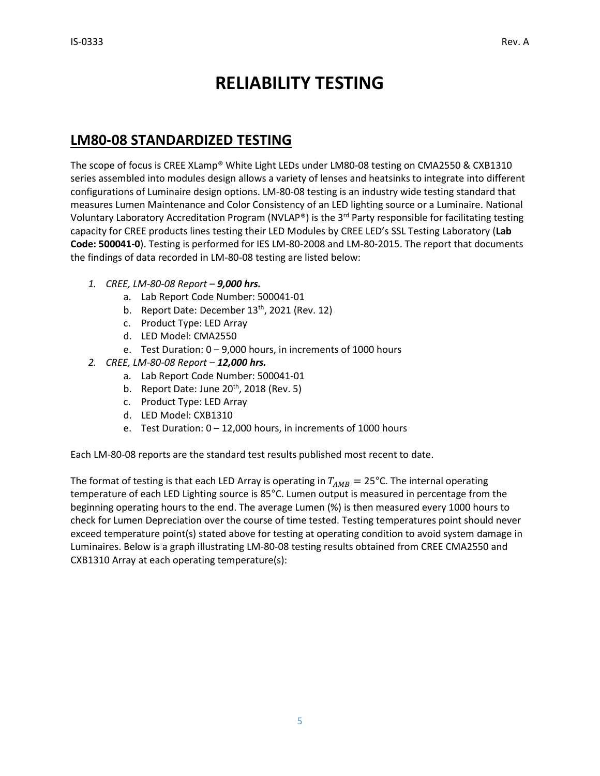# **RELIABILITY TESTING**

# **LM80-08 STANDARDIZED TESTING**

The scope of focus is CREE XLamp® White Light LEDs under LM80-08 testing on CMA2550 & CXB1310 series assembled into modules design allows a variety of lenses and heatsinks to integrate into different configurations of Luminaire design options. LM-80-08 testing is an industry wide testing standard that measures Lumen Maintenance and Color Consistency of an LED lighting source or a Luminaire. National Voluntary Laboratory Accreditation Program (NVLAP®) is the 3<sup>rd</sup> Party responsible for facilitating testing capacity for CREE products lines testing their LED Modules by CREE LED's SSL Testing Laboratory (**Lab Code: 500041-0**). Testing is performed for IES LM-80-2008 and LM-80-2015. The report that documents the findings of data recorded in LM-80-08 testing are listed below:

- *1. CREE, LM-80-08 Report – 9,000 hrs.*
	- a. Lab Report Code Number: 500041-01
	- b. Report Date: December  $13<sup>th</sup>$ , 2021 (Rev. 12)
	- c. Product Type: LED Array
	- d. LED Model: CMA2550
	- e. Test Duration: 0 9,000 hours, in increments of 1000 hours
- *2. CREE, LM-80-08 Report – 12,000 hrs.*
	- a. Lab Report Code Number: 500041-01
	- b. Report Date: June  $20<sup>th</sup>$ , 2018 (Rev. 5)
	- c. Product Type: LED Array
	- d. LED Model: CXB1310
	- e. Test Duration: 0 12,000 hours, in increments of 1000 hours

Each LM-80-08 reports are the standard test results published most recent to date.

The format of testing is that each LED Array is operating in  $T_{AMB} = 25^{\circ}$ C. The internal operating temperature of each LED Lighting source is 85°C. Lumen output is measured in percentage from the beginning operating hours to the end. The average Lumen (%) is then measured every 1000 hours to check for Lumen Depreciation over the course of time tested. Testing temperatures point should never exceed temperature point(s) stated above for testing at operating condition to avoid system damage in Luminaires. Below is a graph illustrating LM-80-08 testing results obtained from CREE CMA2550 and CXB1310 Array at each operating temperature(s):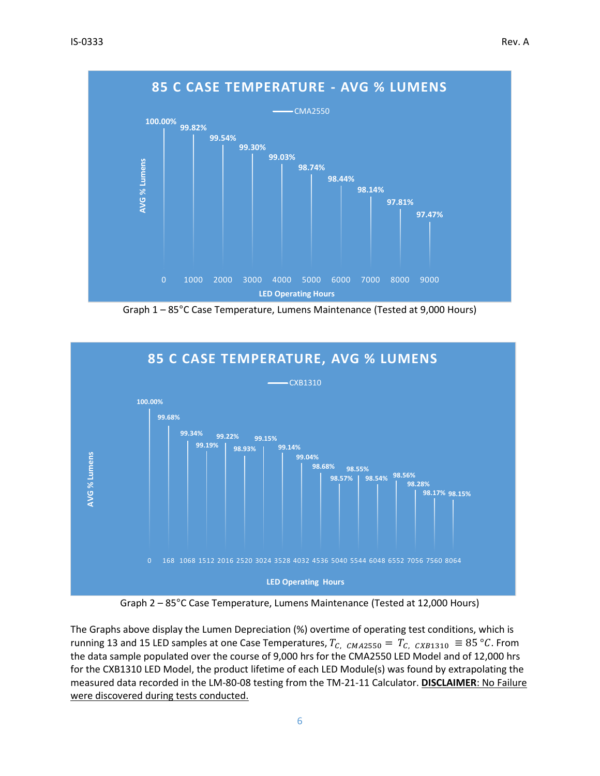

Graph 1 – 85°C Case Temperature, Lumens Maintenance (Tested at 9,000 Hours)



Graph 2 – 85°C Case Temperature, Lumens Maintenance (Tested at 12,000 Hours)

The Graphs above display the Lumen Depreciation (%) overtime of operating test conditions, which is running 13 and 15 LED samples at one Case Temperatures,  $T_{C, CMA2550} = T_{C, CXB1310} \equiv 85 °C$ . From the data sample populated over the course of 9,000 hrs for the CMA2550 LED Model and of 12,000 hrs for the CXB1310 LED Model, the product lifetime of each LED Module(s) was found by extrapolating the measured data recorded in the LM-80-08 testing from the TM-21-11 Calculator. **DISCLAIMER**: No Failure were discovered during tests conducted.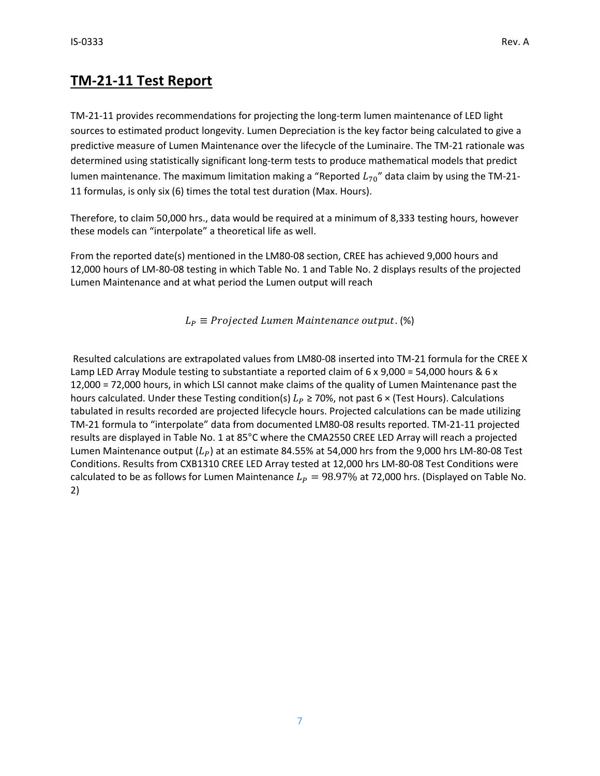# **TM-21-11 Test Report**

TM-21-11 provides recommendations for projecting the long-term lumen maintenance of LED light sources to estimated product longevity. Lumen Depreciation is the key factor being calculated to give a predictive measure of Lumen Maintenance over the lifecycle of the Luminaire. The TM-21 rationale was determined using statistically significant long-term tests to produce mathematical models that predict lumen maintenance. The maximum limitation making a "Reported  $L_{70}$ " data claim by using the TM-21-11 formulas, is only six (6) times the total test duration (Max. Hours).

Therefore, to claim 50,000 hrs., data would be required at a minimum of 8,333 testing hours, however these models can "interpolate" a theoretical life as well.

From the reported date(s) mentioned in the LM80-08 section, CREE has achieved 9,000 hours and 12,000 hours of LM-80-08 testing in which Table No. 1 and Table No. 2 displays results of the projected Lumen Maintenance and at what period the Lumen output will reach

 $L_P \equiv Projected Lumen Maintenance output.$  (%)

Resulted calculations are extrapolated values from LM80-08 inserted into TM-21 formula for the CREE X Lamp LED Array Module testing to substantiate a reported claim of 6 x 9,000 = 54,000 hours & 6 x 12,000 = 72,000 hours, in which LSI cannot make claims of the quality of Lumen Maintenance past the hours calculated. Under these Testing condition(s)  $L_p \ge 70\%$ , not past 6 × (Test Hours). Calculations tabulated in results recorded are projected lifecycle hours. Projected calculations can be made utilizing TM-21 formula to "interpolate" data from documented LM80-08 results reported. TM-21-11 projected results are displayed in Table No. 1 at 85°C where the CMA2550 CREE LED Array will reach a projected Lumen Maintenance output  $(L_p)$  at an estimate 84.55% at 54,000 hrs from the 9,000 hrs LM-80-08 Test Conditions. Results from CXB1310 CREE LED Array tested at 12,000 hrs LM-80-08 Test Conditions were calculated to be as follows for Lumen Maintenance  $L_p = 98.97\%$  at 72,000 hrs. (Displayed on Table No. 2)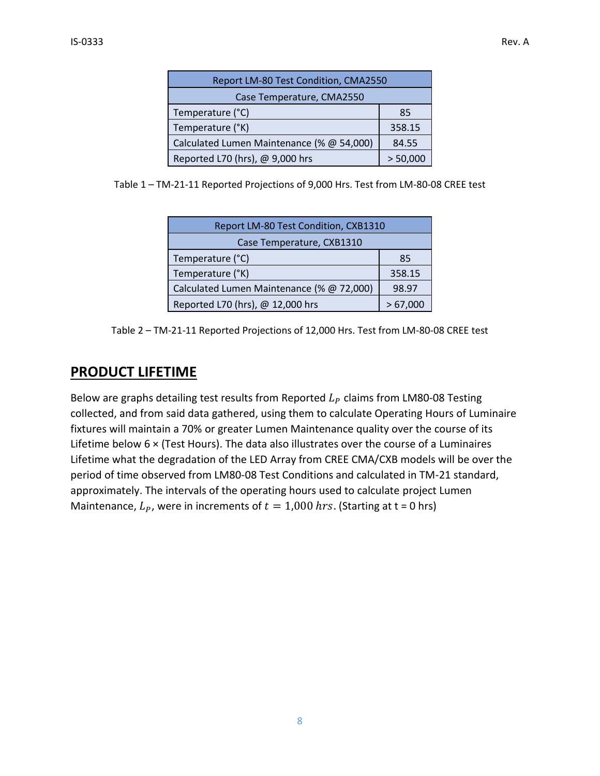| Report LM-80 Test Condition, CMA2550      |          |
|-------------------------------------------|----------|
| Case Temperature, CMA2550                 |          |
| Temperature (°C)                          | 85       |
| Temperature (°K)                          | 358.15   |
| Calculated Lumen Maintenance (% @ 54,000) | 84.55    |
| Reported L70 (hrs), @ 9,000 hrs           | > 50,000 |

Table 1 – TM-21-11 Reported Projections of 9,000 Hrs. Test from LM-80-08 CREE test

| Report LM-80 Test Condition, CXB1310      |         |
|-------------------------------------------|---------|
| Case Temperature, CXB1310                 |         |
| Temperature (°C)                          | 85      |
| Temperature (°K)                          | 358.15  |
| Calculated Lumen Maintenance (% @ 72,000) | 98.97   |
| Reported L70 (hrs), @ 12,000 hrs          | >67,000 |

Table 2 – TM-21-11 Reported Projections of 12,000 Hrs. Test from LM-80-08 CREE test

### **PRODUCT LIFETIME**

Below are graphs detailing test results from Reported  $L_p$  claims from LM80-08 Testing collected, and from said data gathered, using them to calculate Operating Hours of Luminaire fixtures will maintain a 70% or greater Lumen Maintenance quality over the course of its Lifetime below 6 × (Test Hours). The data also illustrates over the course of a Luminaires Lifetime what the degradation of the LED Array from CREE CMA/CXB models will be over the period of time observed from LM80-08 Test Conditions and calculated in TM-21 standard, approximately. The intervals of the operating hours used to calculate project Lumen Maintenance,  $L_p$ , were in increments of  $t = 1,000$  hrs. (Starting at t = 0 hrs)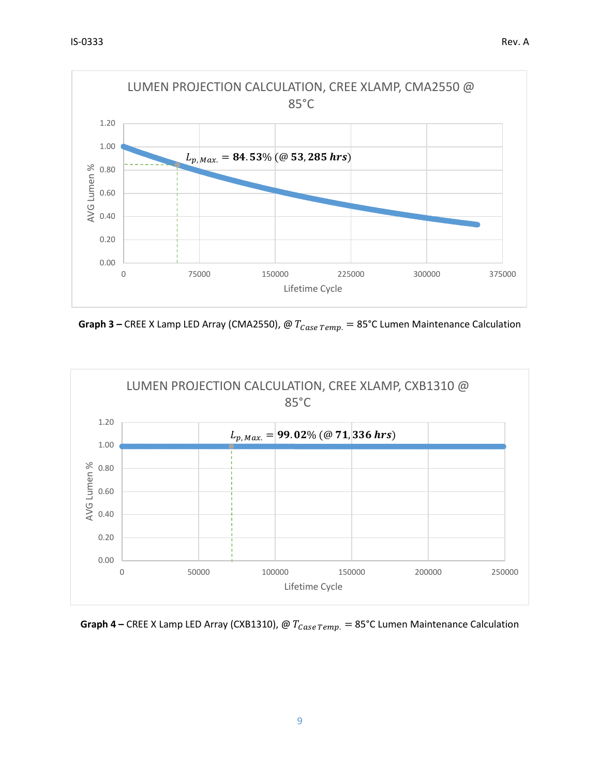

**Graph 3** – CREE X Lamp LED Array (CMA2550),  $\omega T_{Case \,Temp.} = 85^{\circ}$ C Lumen Maintenance Calculation



**Graph 4** – CREE X Lamp LED Array (CXB1310),  $\omega T_{Case \,Temp.} = 85^{\circ}$ C Lumen Maintenance Calculation